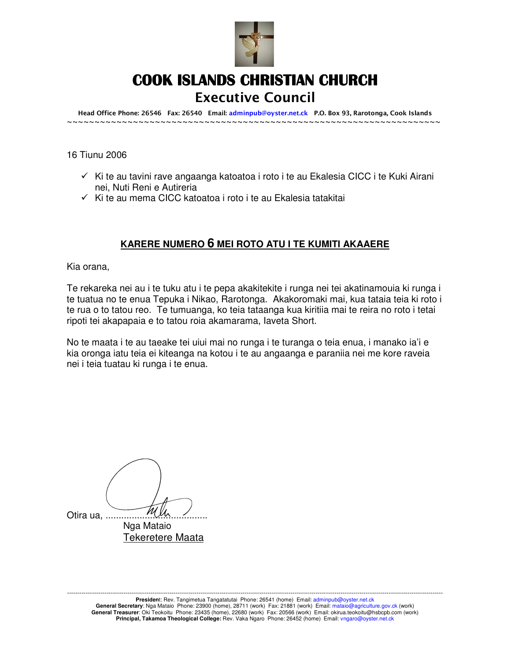

# COOK ISLANDS CHRISTIAN CHURCH Executive Council

Head Office Phone: 26546 Fax: 26540 Email: adminpub@oyster.net.ck P.O. Box 93, Rarotonga, Cook Islands ~~~~~~~~~~~~~~~~~~~~~~~~~~~~~~~~~~~~~~~~~~~~~~~~~~~~~~~~~~~~~~~~~~~~

# 16 Tiunu 2006

- $\checkmark$  Ki te au tavini rave angaanga katoatoa i roto i te au Ekalesia CICC i te Kuki Airani nei, Nuti Reni e Autireria
- $\checkmark$  Ki te au mema CICC katoatoa i roto i te au Ekalesia tatakitai

# **KARERE NUMERO 6 MEI ROTO ATU I TE KUMITI AKAAERE**

Kia orana,

Te rekareka nei au i te tuku atu i te pepa akakitekite i runga nei tei akatinamouia ki runga i te tuatua no te enua Tepuka i Nikao, Rarotonga. Akakoromaki mai, kua tataia teia ki roto i te rua o to tatou reo. Te tumuanga, ko teia tataanga kua kiritiia mai te reira no roto i tetai ripoti tei akapapaia e to tatou roia akamarama, Iaveta Short.

No te maata i te au taeake tei uiui mai no runga i te turanga o teia enua, i manako ia'i e kia oronga iatu teia ei kiteanga na kotou i te au angaanga e paraniia nei me kore raveia nei i teia tuatau ki runga i te enua.

Otira ua,  $\overline{\mathcal{M}}$  Nga Mataio Tekeretere Maata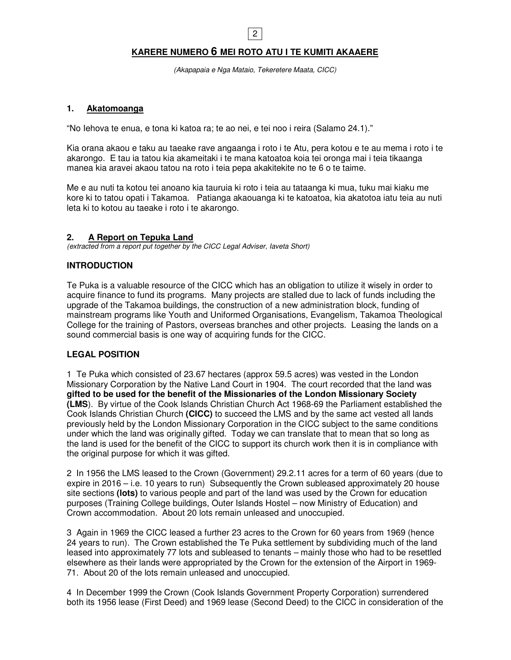# **KARERE NUMERO 6 MEI ROTO ATU I TE KUMITI AKAAERE**

2

(Akapapaia e Nga Mataio, Tekeretere Maata, CICC)

#### **1. Akatomoanga**

"No Iehova te enua, e tona ki katoa ra; te ao nei, e tei noo i reira (Salamo 24.1)."

Kia orana akaou e taku au taeake rave angaanga i roto i te Atu, pera kotou e te au mema i roto i te akarongo. E tau ia tatou kia akameitaki i te mana katoatoa koia tei oronga mai i teia tikaanga manea kia aravei akaou tatou na roto i teia pepa akakitekite no te 6 o te taime.

Me e au nuti ta kotou tei anoano kia tauruia ki roto i teia au tataanga ki mua, tuku mai kiaku me kore ki to tatou opati i Takamoa. Patianga akaouanga ki te katoatoa, kia akatotoa iatu teia au nuti leta ki to kotou au taeake i roto i te akarongo.

#### **2. A Report on Tepuka Land**

(extracted from a report put together by the CICC Legal Adviser, Iaveta Short)

#### **INTRODUCTION**

Te Puka is a valuable resource of the CICC which has an obligation to utilize it wisely in order to acquire finance to fund its programs. Many projects are stalled due to lack of funds including the upgrade of the Takamoa buildings, the construction of a new administration block, funding of mainstream programs like Youth and Uniformed Organisations, Evangelism, Takamoa Theological College for the training of Pastors, overseas branches and other projects. Leasing the lands on a sound commercial basis is one way of acquiring funds for the CICC.

#### **LEGAL POSITION**

1 Te Puka which consisted of 23.67 hectares (approx 59.5 acres) was vested in the London Missionary Corporation by the Native Land Court in 1904. The court recorded that the land was **gifted to be used for the benefit of the Missionaries of the London Missionary Society (LMS**). By virtue of the Cook Islands Christian Church Act 1968-69 the Parliament established the Cook Islands Christian Church **(CICC)** to succeed the LMS and by the same act vested all lands previously held by the London Missionary Corporation in the CICC subject to the same conditions under which the land was originally gifted. Today we can translate that to mean that so long as the land is used for the benefit of the CICC to support its church work then it is in compliance with the original purpose for which it was gifted.

2 In 1956 the LMS leased to the Crown (Government) 29.2.11 acres for a term of 60 years (due to expire in 2016 – i.e. 10 years to run) Subsequently the Crown subleased approximately 20 house site sections **(lots)** to various people and part of the land was used by the Crown for education purposes (Training College buildings, Outer Islands Hostel – now Ministry of Education) and Crown accommodation. About 20 lots remain unleased and unoccupied.

3 Again in 1969 the CICC leased a further 23 acres to the Crown for 60 years from 1969 (hence 24 years to run). The Crown established the Te Puka settlement by subdividing much of the land leased into approximately 77 lots and subleased to tenants – mainly those who had to be resettled elsewhere as their lands were appropriated by the Crown for the extension of the Airport in 1969- 71. About 20 of the lots remain unleased and unoccupied.

4 In December 1999 the Crown (Cook Islands Government Property Corporation) surrendered both its 1956 lease (First Deed) and 1969 lease (Second Deed) to the CICC in consideration of the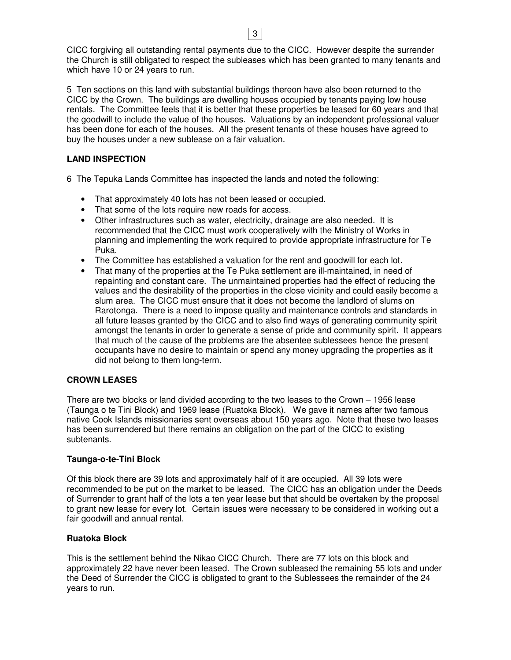CICC forgiving all outstanding rental payments due to the CICC. However despite the surrender the Church is still obligated to respect the subleases which has been granted to many tenants and which have 10 or 24 years to run.

5 Ten sections on this land with substantial buildings thereon have also been returned to the CICC by the Crown. The buildings are dwelling houses occupied by tenants paying low house rentals. The Committee feels that it is better that these properties be leased for 60 years and that the goodwill to include the value of the houses. Valuations by an independent professional valuer has been done for each of the houses. All the present tenants of these houses have agreed to buy the houses under a new sublease on a fair valuation.

# **LAND INSPECTION**

6 The Tepuka Lands Committee has inspected the lands and noted the following:

- That approximately 40 lots has not been leased or occupied.
- That some of the lots require new roads for access.
- Other infrastructures such as water, electricity, drainage are also needed. It is recommended that the CICC must work cooperatively with the Ministry of Works in planning and implementing the work required to provide appropriate infrastructure for Te Puka.
- The Committee has established a valuation for the rent and goodwill for each lot.
- That many of the properties at the Te Puka settlement are ill-maintained, in need of repainting and constant care. The unmaintained properties had the effect of reducing the values and the desirability of the properties in the close vicinity and could easily become a slum area. The CICC must ensure that it does not become the landlord of slums on Rarotonga. There is a need to impose quality and maintenance controls and standards in all future leases granted by the CICC and to also find ways of generating community spirit amongst the tenants in order to generate a sense of pride and community spirit. It appears that much of the cause of the problems are the absentee sublessees hence the present occupants have no desire to maintain or spend any money upgrading the properties as it did not belong to them long-term.

# **CROWN LEASES**

There are two blocks or land divided according to the two leases to the Crown – 1956 lease (Taunga o te Tini Block) and 1969 lease (Ruatoka Block). We gave it names after two famous native Cook Islands missionaries sent overseas about 150 years ago. Note that these two leases has been surrendered but there remains an obligation on the part of the CICC to existing subtenants.

#### **Taunga-o-te-Tini Block**

Of this block there are 39 lots and approximately half of it are occupied. All 39 lots were recommended to be put on the market to be leased. The CICC has an obligation under the Deeds of Surrender to grant half of the lots a ten year lease but that should be overtaken by the proposal to grant new lease for every lot. Certain issues were necessary to be considered in working out a fair goodwill and annual rental.

#### **Ruatoka Block**

This is the settlement behind the Nikao CICC Church. There are 77 lots on this block and approximately 22 have never been leased. The Crown subleased the remaining 55 lots and under the Deed of Surrender the CICC is obligated to grant to the Sublessees the remainder of the 24 years to run.

3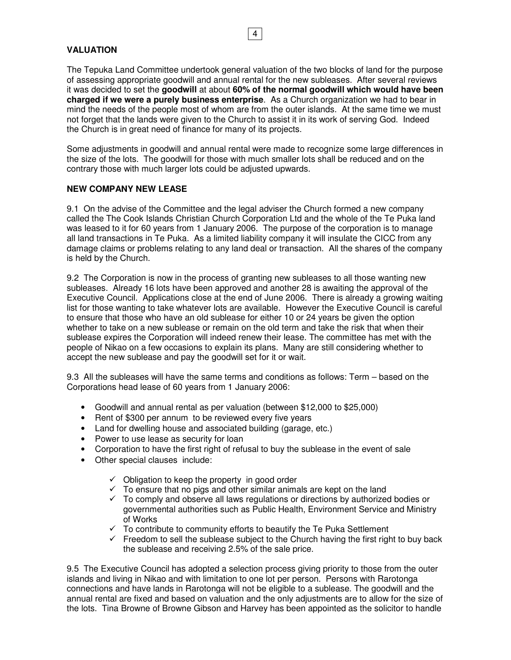#### 4

# **VALUATION**

The Tepuka Land Committee undertook general valuation of the two blocks of land for the purpose of assessing appropriate goodwill and annual rental for the new subleases. After several reviews it was decided to set the **goodwill** at about **60% of the normal goodwill which would have been charged if we were a purely business enterprise**. As a Church organization we had to bear in mind the needs of the people most of whom are from the outer islands. At the same time we must not forget that the lands were given to the Church to assist it in its work of serving God. Indeed the Church is in great need of finance for many of its projects.

Some adjustments in goodwill and annual rental were made to recognize some large differences in the size of the lots. The goodwill for those with much smaller lots shall be reduced and on the contrary those with much larger lots could be adjusted upwards.

#### **NEW COMPANY NEW LEASE**

9.1 On the advise of the Committee and the legal adviser the Church formed a new company called the The Cook Islands Christian Church Corporation Ltd and the whole of the Te Puka land was leased to it for 60 years from 1 January 2006. The purpose of the corporation is to manage all land transactions in Te Puka. As a limited liability company it will insulate the CICC from any damage claims or problems relating to any land deal or transaction. All the shares of the company is held by the Church.

9.2 The Corporation is now in the process of granting new subleases to all those wanting new subleases. Already 16 lots have been approved and another 28 is awaiting the approval of the Executive Council. Applications close at the end of June 2006. There is already a growing waiting list for those wanting to take whatever lots are available. However the Executive Council is careful to ensure that those who have an old sublease for either 10 or 24 years be given the option whether to take on a new sublease or remain on the old term and take the risk that when their sublease expires the Corporation will indeed renew their lease. The committee has met with the people of Nikao on a few occasions to explain its plans. Many are still considering whether to accept the new sublease and pay the goodwill set for it or wait.

9.3 All the subleases will have the same terms and conditions as follows: Term – based on the Corporations head lease of 60 years from 1 January 2006:

- Goodwill and annual rental as per valuation (between \$12,000 to \$25,000)
- Rent of \$300 per annum to be reviewed every five years
- Land for dwelling house and associated building (garage, etc.)
- Power to use lease as security for loan
- Corporation to have the first right of refusal to buy the sublease in the event of sale
- Other special clauses include:
	- $\checkmark$  Obligation to keep the property in good order
	- $\checkmark$  To ensure that no pigs and other similar animals are kept on the land
	- $\checkmark$  To comply and observe all laws regulations or directions by authorized bodies or governmental authorities such as Public Health, Environment Service and Ministry of Works
	- $\checkmark$  To contribute to community efforts to beautify the Te Puka Settlement
	- $\checkmark$  Freedom to sell the sublease subject to the Church having the first right to buy back the sublease and receiving 2.5% of the sale price.

9.5 The Executive Council has adopted a selection process giving priority to those from the outer islands and living in Nikao and with limitation to one lot per person. Persons with Rarotonga connections and have lands in Rarotonga will not be eligible to a sublease. The goodwill and the annual rental are fixed and based on valuation and the only adjustments are to allow for the size of the lots. Tina Browne of Browne Gibson and Harvey has been appointed as the solicitor to handle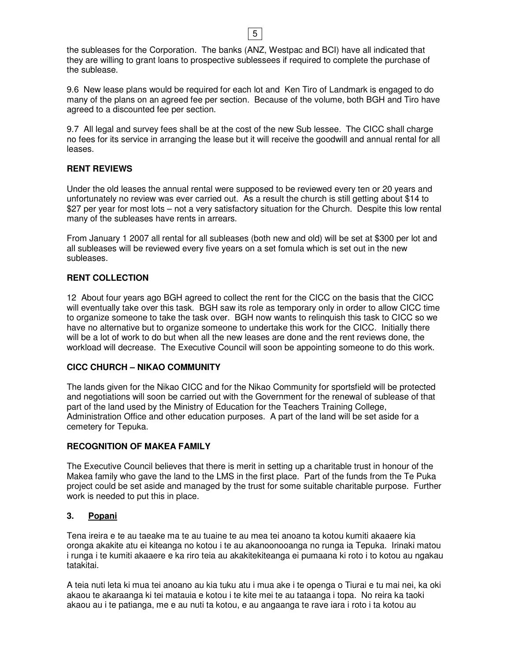|               | the subleases for the Corporation. The banks (ANZ, Westpac and BCI) have all indicated that       |  |
|---------------|---------------------------------------------------------------------------------------------------|--|
|               | they are willing to grant loans to prospective sublessees if required to complete the purchase of |  |
| the sublease. |                                                                                                   |  |

5

9.6 New lease plans would be required for each lot and Ken Tiro of Landmark is engaged to do many of the plans on an agreed fee per section. Because of the volume, both BGH and Tiro have agreed to a discounted fee per section.

9.7 All legal and survey fees shall be at the cost of the new Sub lessee. The CICC shall charge no fees for its service in arranging the lease but it will receive the goodwill and annual rental for all leases.

#### **RENT REVIEWS**

Under the old leases the annual rental were supposed to be reviewed every ten or 20 years and unfortunately no review was ever carried out. As a result the church is still getting about \$14 to \$27 per year for most lots – not a very satisfactory situation for the Church. Despite this low rental many of the subleases have rents in arrears.

From January 1 2007 all rental for all subleases (both new and old) will be set at \$300 per lot and all subleases will be reviewed every five years on a set fomula which is set out in the new subleases.

#### **RENT COLLECTION**

12 About four years ago BGH agreed to collect the rent for the CICC on the basis that the CICC will eventually take over this task. BGH saw its role as temporary only in order to allow CICC time to organize someone to take the task over. BGH now wants to relinquish this task to CICC so we have no alternative but to organize someone to undertake this work for the CICC. Initially there will be a lot of work to do but when all the new leases are done and the rent reviews done, the workload will decrease. The Executive Council will soon be appointing someone to do this work.

#### **CICC CHURCH – NIKAO COMMUNITY**

The lands given for the Nikao CICC and for the Nikao Community for sportsfield will be protected and negotiations will soon be carried out with the Government for the renewal of sublease of that part of the land used by the Ministry of Education for the Teachers Training College, Administration Office and other education purposes. A part of the land will be set aside for a cemetery for Tepuka.

# **RECOGNITION OF MAKEA FAMILY**

The Executive Council believes that there is merit in setting up a charitable trust in honour of the Makea family who gave the land to the LMS in the first place. Part of the funds from the Te Puka project could be set aside and managed by the trust for some suitable charitable purpose. Further work is needed to put this in place.

# **3. Popani**

Tena ireira e te au taeake ma te au tuaine te au mea tei anoano ta kotou kumiti akaaere kia oronga akakite atu ei kiteanga no kotou i te au akanoonooanga no runga ia Tepuka. Irinaki matou i runga i te kumiti akaaere e ka riro teia au akakitekiteanga ei pumaana ki roto i to kotou au ngakau tatakitai.

A teia nuti leta ki mua tei anoano au kia tuku atu i mua ake i te openga o Tiurai e tu mai nei, ka oki akaou te akaraanga ki tei matauia e kotou i te kite mei te au tataanga i topa. No reira ka taoki akaou au i te patianga, me e au nuti ta kotou, e au angaanga te rave iara i roto i ta kotou au